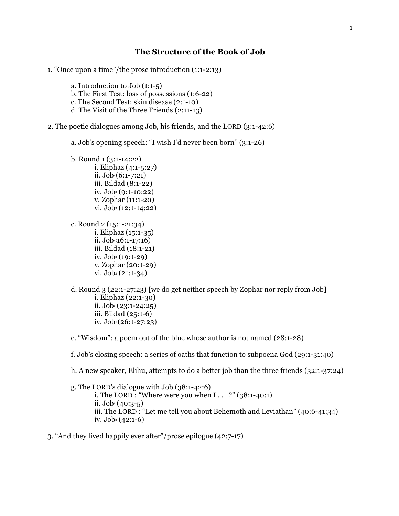# **The Structure of the Book of Job**

- 1. "Once upon a time"/the prose introduction (1:1-2:13)
	- a. Introduction to Job (1:1-5)
	- b. The First Test: loss of possessions (1:6-22)
	- c. The Second Test: skin disease (2:1-10)
	- d. The Visit of the Three Friends (2:11-13)
- 2. The poetic dialogues among Job, his friends, and the LORD (3:1-42:6)
	- a. Job's opening speech: "I wish I'd never been born" (3:1-26)
	- b. Round 1 (3:1-14:22) i. Eliphaz (4:1-5:27) ii.  $Job_1 (6:1-7:21)$ iii. Bildad (8:1-22)  $iv.$  Job<sup>2</sup> (9:1-10:22) v. Zophar (11:1-20) vi. Job<sub>3</sub> (12:1-14:22)
	- c. Round 2 (15:1-21:34) i. Eliphaz (15:1-35) ii.  $Jo\bar{b}$ <sup>1</sup>(16:1-17:16) iii. Bildad (18:1-21) iv.  $Job_2(19:1-29)$ v. Zophar (20:1-29)  $vi. Job<sub>3</sub>(21:1-34)$
	- d. Round 3 (22:1-27:23) [we do get neither speech by Zophar nor reply from Job] i. Eliphaz (22:1-30) ii.  $Job_1(23:1-24:25)$ iii. Bildad (25:1-6) iv. Job<sup>2</sup> (26:1-27:23)
	- e. "Wisdom": a poem out of the blue whose author is not named (28:1-28)
	- f. Job's closing speech: a series of oaths that function to subpoena God (29:1-31:40)
	- h. A new speaker, Elihu, attempts to do a better job than the three friends (32:1-37:24)
	- g. The LORD's dialogue with Job (38:1-42:6) i. The LORD<sup>1</sup>: "Where were you when  $I \ldots$ ?" (38:1-40:1) ii.  $Job_1(40:3-5)$ iii. The LORD<sup>2</sup>: "Let me tell you about Behemoth and Leviathan" (40:6-41:34) iv. Job<sup>2</sup> (42:1-6)
- 3. "And they lived happily ever after"/prose epilogue (42:7-17)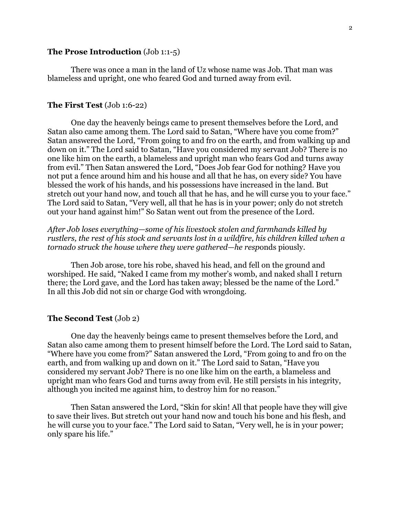# **The Prose Introduction** (Job 1:1-5)

There was once a man in the land of Uz whose name was Job. That man was blameless and upright, one who feared God and turned away from evil.

## **The First Test** (Job 1:6-22)

One day the heavenly beings came to present themselves before the Lord, and Satan also came among them. The Lord said to Satan, "Where have you come from?" Satan answered the Lord, "From going to and fro on the earth, and from walking up and down on it." The Lord said to Satan, "Have you considered my servant Job? There is no one like him on the earth, a blameless and upright man who fears God and turns away from evil." Then Satan answered the Lord, "Does Job fear God for nothing? Have you not put a fence around him and his house and all that he has, on every side? You have blessed the work of his hands, and his possessions have increased in the land. But stretch out your hand now, and touch all that he has, and he will curse you to your face." The Lord said to Satan, "Very well, all that he has is in your power; only do not stretch out your hand against him!" So Satan went out from the presence of the Lord.

*After Job loses everything—some of his livestock stolen and farmhands killed by rustlers, the rest of his stock and servants lost in a wildfire, his children killed when a tornado struck the house where they were gathered—he resp*onds piously.

Then Job arose, tore his robe, shaved his head, and fell on the ground and worshiped. He said, "Naked I came from my mother's womb, and naked shall I return there; the Lord gave, and the Lord has taken away; blessed be the name of the Lord." In all this Job did not sin or charge God with wrongdoing.

#### **The Second Test** (Job 2)

One day the heavenly beings came to present themselves before the Lord, and Satan also came among them to present himself before the Lord. The Lord said to Satan, "Where have you come from?" Satan answered the Lord, "From going to and fro on the earth, and from walking up and down on it." The Lord said to Satan, "Have you considered my servant Job? There is no one like him on the earth, a blameless and upright man who fears God and turns away from evil. He still persists in his integrity, although you incited me against him, to destroy him for no reason."

Then Satan answered the Lord, "Skin for skin! All that people have they will give to save their lives. But stretch out your hand now and touch his bone and his flesh, and he will curse you to your face." The Lord said to Satan, "Very well, he is in your power; only spare his life."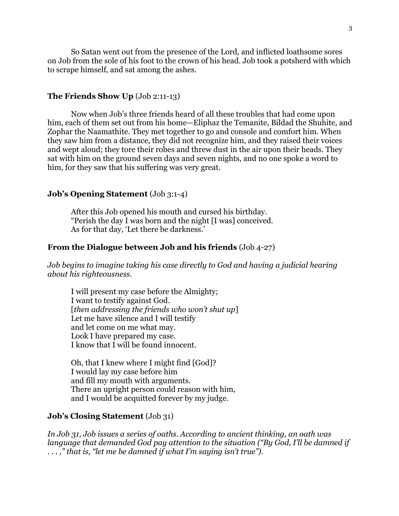So Satan went out from the presence of the Lord, and inflicted loathsome sores on Job from the sole of his foot to the crown of his head. Job took a potsherd with which to scrape himself, and sat among the ashes.

# **The Friends Show Up** (Job 2:11-13)

Now when Job's three friends heard of all these troubles that had come upon him, each of them set out from his home—Eliphaz the Temanite, Bildad the Shuhite, and Zophar the Naamathite. They met together to go and console and comfort him. When they saw him from a distance, they did not recognize him, and they raised their voices and wept aloud; they tore their robes and threw dust in the air upon their heads. They sat with him on the ground seven days and seven nights, and no one spoke a word to him, for they saw that his suffering was very great.

# **Job's Opening Statement** (Job 3:1-4)

After this Job opened his mouth and cursed his birthday. "Perish the day I was born and the night [I was] conceived. As for that day, 'Let there be darkness.'

## **From the Dialogue between Job and his friends** (Job 4-27)

*Job begins to imagine taking his case directly to God and having a judicial hearing about his righteousness.*

I will present my case before the Almighty; I want to testify against God. [*then addressing the friends who won't shut up*] Let me have silence and I will testify and let come on me what may. Look I have prepared my case. I know that I will be found innocent.

Oh, that I knew where I might find [God]? I would lay my case before him and fill my mouth with arguments. There an upright person could reason with him, and I would be acquitted forever by my judge.

# **Job's Closing Statement** (Job 31)

*In Job 31, Job issues a series of oaths. According to ancient thinking, an oath was language that demanded God pay attention to the situation ("By God, I'll be damned if . . . ," that is, "let me be damned if what I'm saying isn't true").*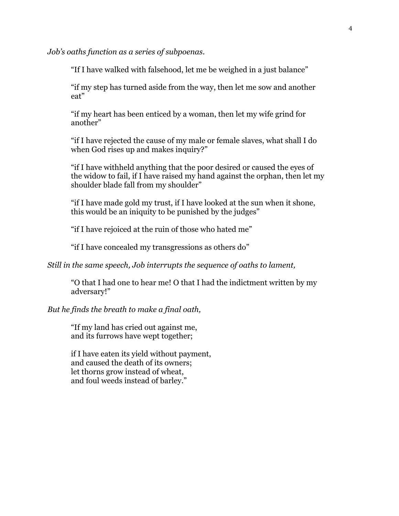*Job's oaths function as a series of subpoenas.*

"If I have walked with falsehood, let me be weighed in a just balance"

"if my step has turned aside from the way, then let me sow and another eat"

"if my heart has been enticed by a woman, then let my wife grind for another"

"if I have rejected the cause of my male or female slaves, what shall I do when God rises up and makes inquiry?"

"if I have withheld anything that the poor desired or caused the eyes of the widow to fail, if I have raised my hand against the orphan, then let my shoulder blade fall from my shoulder"

"if I have made gold my trust, if I have looked at the sun when it shone, this would be an iniquity to be punished by the judges"

"if I have rejoiced at the ruin of those who hated me"

"if I have concealed my transgressions as others do"

*Still in the same speech, Job interrupts the sequence of oaths to lament,*

"O that I had one to hear me! O that I had the indictment written by my adversary!"

# *But he finds the breath to make a final oath,*

"If my land has cried out against me, and its furrows have wept together;

if I have eaten its yield without payment, and caused the death of its owners; let thorns grow instead of wheat, and foul weeds instead of barley."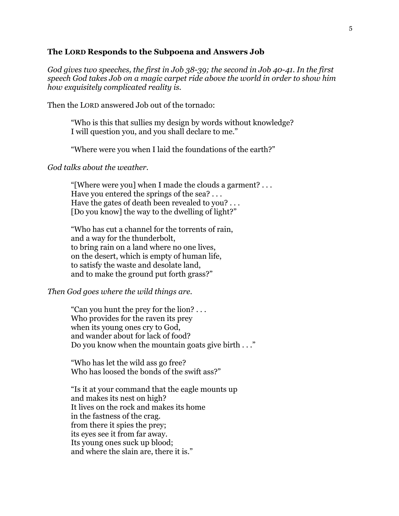## **The LORD Responds to the Subpoena and Answers Job**

*God gives two speeches, the first in Job 38-39; the second in Job 40-41. In the first speech God takes Job on a magic carpet ride above the world in order to show him how exquisitely complicated reality is.*

Then the LORD answered Job out of the tornado:

"Who is this that sullies my design by words without knowledge? I will question you, and you shall declare to me."

"Where were you when I laid the foundations of the earth?"

#### *God talks about the weather.*

"[Where were you] when I made the clouds a garment? . . . Have you entered the springs of the sea? . . . Have the gates of death been revealed to you? . . . [Do you know] the way to the dwelling of light?"

"Who has cut a channel for the torrents of rain, and a way for the thunderbolt, to bring rain on a land where no one lives, on the desert, which is empty of human life, to satisfy the waste and desolate land, and to make the ground put forth grass?"

#### *Then God goes where the wild things are.*

"Can you hunt the prey for the lion? . . . Who provides for the raven its prey when its young ones cry to God, and wander about for lack of food? Do you know when the mountain goats give birth . . ."

"Who has let the wild ass go free? Who has loosed the bonds of the swift ass?"

"Is it at your command that the eagle mounts up and makes its nest on high? It lives on the rock and makes its home in the fastness of the crag. from there it spies the prey; its eyes see it from far away. Its young ones suck up blood; and where the slain are, there it is."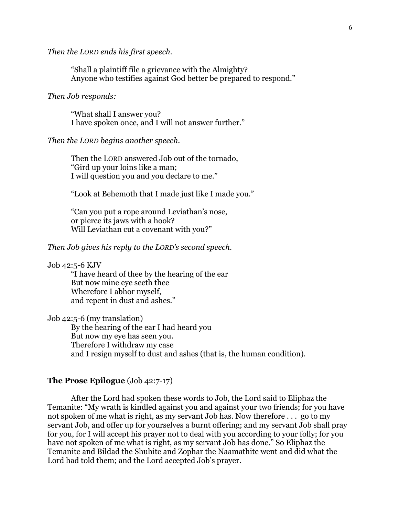### *Then the LORD ends his first speech.*

"Shall a plaintiff file a grievance with the Almighty? Anyone who testifies against God better be prepared to respond."

## *Then Job responds:*

"What shall I answer you? I have spoken once, and I will not answer further."

#### *Then the LORD begins another speech.*

Then the LORD answered Job out of the tornado, "Gird up your loins like a man; I will question you and you declare to me."

"Look at Behemoth that I made just like I made you."

"Can you put a rope around Leviathan's nose, or pierce its jaws with a hook? Will Leviathan cut a covenant with you?"

## *Then Job gives his reply to the LORD's second speech.*

### Job 42:5-6 KJV

"I have heard of thee by the hearing of the ear But now mine eye seeth thee Wherefore I abhor myself, and repent in dust and ashes."

Job 42:5-6 (my translation)

By the hearing of the ear I had heard you But now my eye has seen you. Therefore I withdraw my case and I resign myself to dust and ashes (that is, the human condition).

## **The Prose Epilogue** (Job 42:7-17)

After the Lord had spoken these words to Job, the Lord said to Eliphaz the Temanite: "My wrath is kindled against you and against your two friends; for you have not spoken of me what is right, as my servant Job has. Now therefore . . . go to my servant Job, and offer up for yourselves a burnt offering; and my servant Job shall pray for you, for I will accept his prayer not to deal with you according to your folly; for you have not spoken of me what is right, as my servant Job has done." So Eliphaz the Temanite and Bildad the Shuhite and Zophar the Naamathite went and did what the Lord had told them; and the Lord accepted Job's prayer.